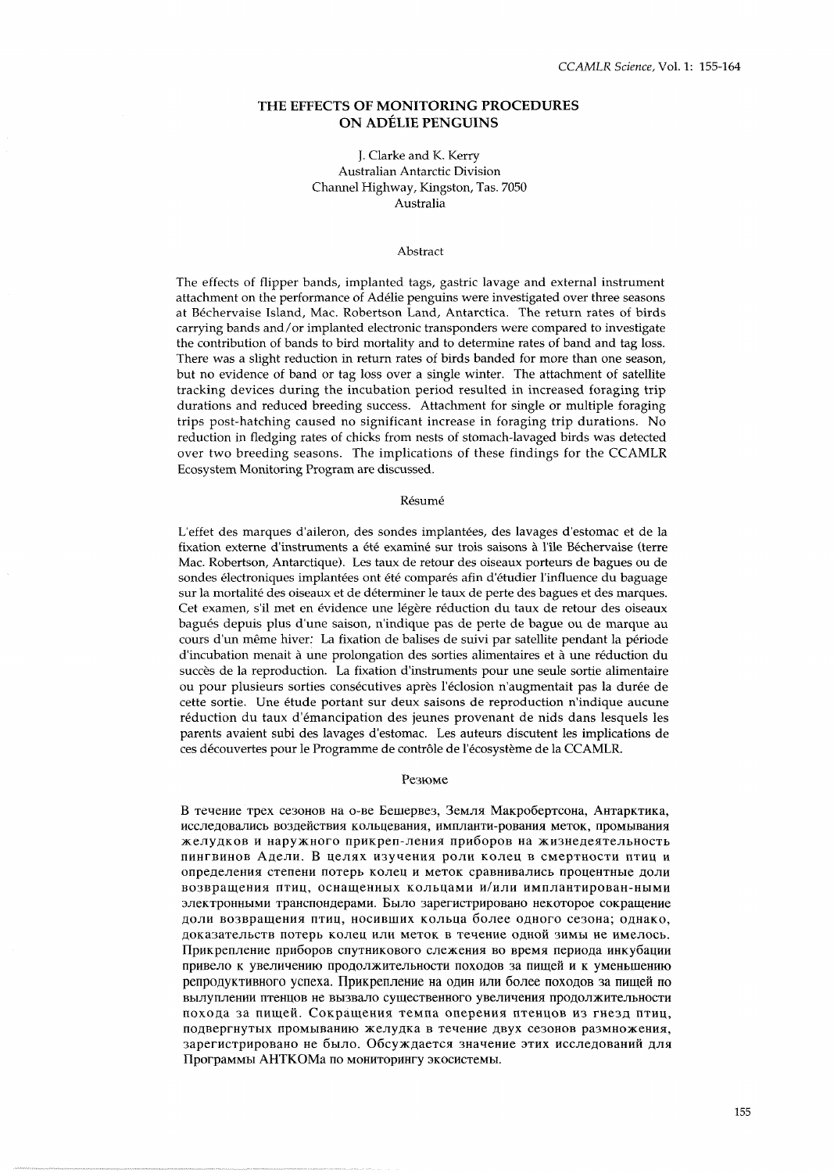# **THE EFFECTS OF MONITORING PROCEDURES ON ADELIE PENGUINS**

# J. Clarke and K. Kerry Australian Antarctic Division Channel Highway, Kingston, Tas. 7050 Australia

#### Abstract

The effects of flipper bands, implanted tags, gastric lavage and external instrument attachment on the performance of Adelie penguins were investigated over three seasons at Bechervaise Island, Mac. Robertson Land, Antarctica. The return rates of birds carrying bands and/or implanted electronic transponders were compared to investigate the contribution of bands to bird mortality and to determine rates of band and tag loss. There was a slight reduction in return rates of birds banded for more than one season, but no evidence of band or tag loss over a single winter. The attachment of satellite tracking devices during the incubation period resulted in increased foraging trip durations and reduced breeding success. Attachment for single or multiple foraging trips post-hatching caused no significant increase in foraging trip durations. No reduction in fledging rates of chicks from nests of stomach-lavaged birds was detected over two breeding seasons. The implications of these findings for the CCAMLR Ecosystem Monitoring Program are discussed.

#### Résumé

L'effet des marques d'aileron, des sondes implantées, des lavages d'estomac et de la fixation externe d'instruments a été examiné sur trois saisons à l'île Béchervaise (terre Mac. Robertson, Antarctique). Les taux de retour des oiseaux porteurs de bagues ou de sondes électroniques implantées ont été comparés afin d'étudier l'influence du baguage sur la mortalité des oiseaux et de déterminer le taux de perte des bagues et des marques. Cet examen, s'il met en évidence une légère réduction du taux de retour des oiseaux bagués depuis plus d'une saison, n'indique pas de perte de bague ou de marque au cours d'un même hiver: La fixation de balises de suivi par satellite pendant la période d'incubation menait à une prolongation des sorties alimentaires et à une réduction du succès de la reproduction. La fixation d'instruments pour une seule sortie alimentaire ou pour plusieurs sorties consécutives après l'éclosion n'augmentait pas la durée de cette sortie. Une etude portant sur deux saisons de reproduction n'indique aucune reduction du taux d'emancipation des jeunes provenant de nids dans lesquels les parents avaient subi des lavages d'estomac. Les auteurs discutent les implications de ces découvertes pour le Programme de contrôle de l'écosystème de la CCAMLR.

### Резюме

В течение трех сезонов на о-ве Бешервез, Земля Макробертсона, Антарктика, исследовались воздействия кольцевания, импланти-рования меток, промывания желудков и наружного прикреп-ления приборов на жизнедеятельность IIHHrBHHOB Anenu. **B** qeJIXX H3yYeHHX POJIH KOneU B CMePTHOCTH nTHq H определения степени потерь колец и меток сравнивались процентные доли возвращения птиц, оснащенных кольцами и/или имплантирован-ными электронными транспондерами. Было зарегистрировано некоторое сокращение доли возвращения птиц, носивших кольца более одного сезона; однако, доказательств потерь колец или меток в течение одной зимы не имелось. Прикрепление приборов спутникового слежения во время периода инкубации привело к увеличению продолжительности походов за пищей и к уменьшению репродуктивного успеха. Прикрепление на один или более походов за пищей по вылуплении птенцов не вызвало существенного увеличения продолжительности похода за пищей. Сокращения темпа оперения птенцов из гнезд птиц, подвергнутых промыванию желудка в течение двух сезонов размножения, зарегистрировано не было. Обсуждается значение этих исследований для Программы АНТКОМа по мониторингу экосистемы.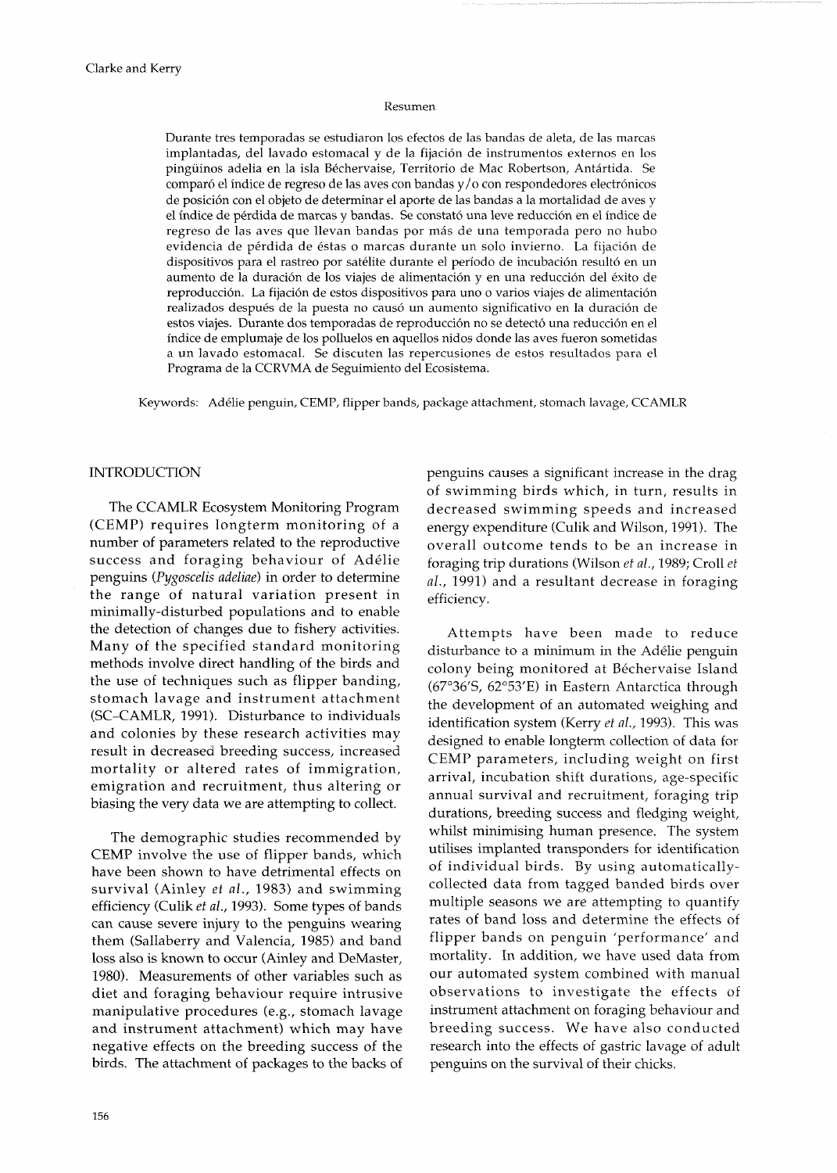# Resumen

Durante tres temporadas se estudiaron 10s efectos de las bandas de aleta, de las marcas implantadas, del lavado estomacal y de la fijacion de instrumentos externos en 10s pingüinos adelia en la isla Béchervaise, Territorio de Mac Robertson, Antártida. Se comparó el índice de regreso de las aves con bandas  $y/$ o con respondedores electrónicos de position con el objeto de determinar el aporte de las bandas a la mortalidad de aves y el indice de perdida de marcas y bandas. Se constato una leve reduccion en el indice de regreso de las aves que llevan bandas por más de una temporada pero no hubo evidencia de perdida de estas o marcas durante un solo invierno. La fijacion de dispositivos para el rastreo por satélite durante el período de incubación resultó en un aumento de la duración de los viajes de alimentación y en una reducción del éxito de reproduccion. La fijacion de estos dispositivos para uno o varios viajes de alimentacion realizados después de la puesta no causó un aumento significativo en la duración de estos viajes. Durante dos temporadas de reproducción no se detectó una reducción en el indice de emplumaje de 10s polluelos en aquellos nidos donde las aves fueron sometidas a un lavado estomacal. Se discuten las repercusiones de estos resultados para el Programa de la CCRVMA de Seguimiento del Ecosistema.

Keywords: Adelie penguin, CEMP, flipper bands, package attachment, stomach lavage, CCAMLR

### INTRODUCTION

The CCAMLR Ecosystem Monitoring Program (CEMP) requires longterm monitoring of a number of parameters related to the reproductive success and foraging behaviour of Adélie penguins (Pygoscelis adeliae) in order to determine the range of natural variation present in minimally-disturbed populations and to enable the detection of changes due to fishery activities. Many of the specified standard monitoring methods involve direct handling of the birds and the use of techniques such as flipper banding, stomach lavage and instrument attachment (SC-CAMLR, 1991). Disturbance to individuals and colonies by these research activities may result in decreased breeding success, increased mortality or altered rates of immigration, emigration and recruitment, thus altering or biasing the very data we are attempting to collect.

The demographic studies recommended by CEMP involve the use of flipper bands, which have been shown to have detrimental effects on survival (Ainley et al., 1983) and swimming efficiency (Culik et al., 1993). Some types of bands can cause severe injury to the penguins wearing them (Sallaberry and Valencia, 1985) and band loss also is known to occur (Ainley and DeMaster, 1980). Measurements of other variables such as diet and foraging behaviour require intrusive manipulative procedures (e.g., stomach lavage and instrument attachment) which may have negative effects on the breeding success of the birds. The attachment of packages to the backs of penguins causes a significant increase in the drag of swimming birds which, in turn, results in decreased swimming speeds and increased energy expenditure (Culik and Wilson, 1991). The overall outcome tends to be an increase in foraging trip durations (Wilson *et al.,* 1989; Croll *et al.,* 1991) and a resultant decrease in foraging efficiency.

Attempts have been made to reduce disturbance to a minimum in the Adélie penguin colony being monitored at Béchervaise Island (67"36'S, 62'53'E) in Eastern Antarctica through the development of an automated weighing and identification system (Kerry et al., 1993). This was designed to enable longterm collection of data for CEMP parameters, including weight on first arrival, incubation shift durations, age-specific annual survival and recruitment, foraging trip durations, breeding success and fledging weight, whilst minimising human presence. The system utilises implanted transponders for identification of individual birds. By using automaticallycollected data from tagged banded birds over multiple seasons we are attempting to quantify rates of band loss and determine the effects of flipper bands on penguin 'performance' and mortality. In addition, we have used data from our automated system combined with manual observations to investigate the effects of instrument attachment on foraging behaviour and breeding success. We have also conducted research into the effects of gastric lavage of adult penguins on the survival of their chicks.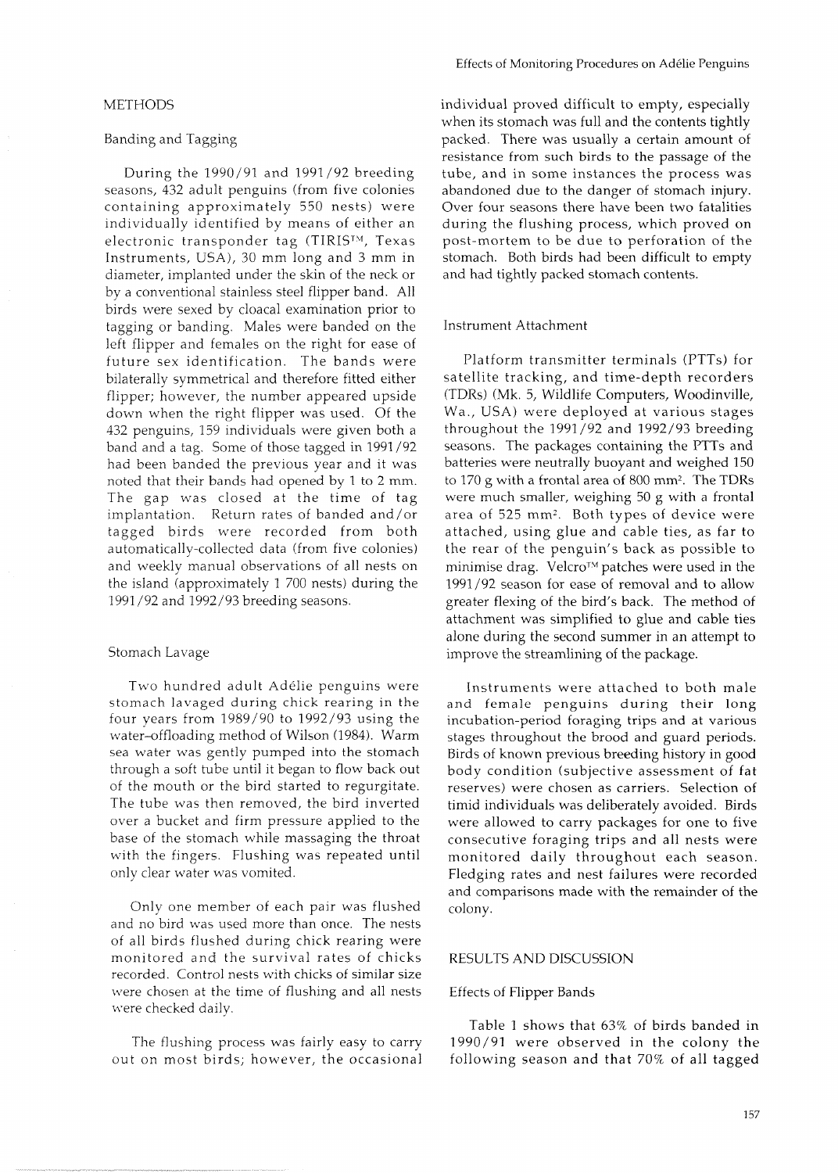#### **METHODS**

# Banding and Tagging

During the 1990/91 and 1991/92 breeding seasons, 432 adult penguins (from five colonies containing approximately 550 nests) were individually identified by means of either an electronic transponder tag (TIRISTM, Texas Instruments, USA), 30 mm long and 3 mm in diameter, implanted under the skin of the neck or by a conventional stainless steel flipper band. All birds were sexed by cloacal examination prior to tagging or banding. Males were banded on the left flipper and females on the right for ease of future sex identification. The bands were bilaterally symmetrical and therefore fitted either flipper; however, the number appeared upside down when the right flipper was used. Of the 432 penguins, 159 individuals were given both a band and a tag. Some of those tagged in 1991/92 had been banded the previous year and it was noted that their bands had opened by 1 to 2 mm. The gap was closed at the time of tag implantation. Return rates of banded and/or tagged birds were recorded from both automatically-collected data (from five colonies) and weekly manual observations of all nests on the island (approximately 1 700 nests) during the 1991 /92 and 1992/93 breeding seasons.

# Stomach Lavage

Two hundred adult Adelie penguins were stomach lavaged during chick rearing in the four years from 1989/90 to 1992/93 using the water-offloading method of Wilson (1984). Warm sea water was gently pumped into the stomach through a soft tube until it began to flow back out of the mouth or the bird started to regurgitate. The tube was then removed, the bird inverted over a bucket and firm pressure applied to the base of the stomach while massaging the throat with the fingers. Flushing was repeated until only clear water was vomited.

Only one member of each pair was flushed and no bird was used more than once. The nests of all birds flushed during chick rearing were monitored and the survival rates of chicks recorded. Control nests with chicks of similar size were chosen at the time of flushing and all nests were checked daily.

The flushing process was fairly easy to carry out on most birds; however, the occasional individual proved difficult to empty, especially when its stomach was full and the contents tightly packed. There was usually a certain amount of resistance from such birds to the passage of the tube, and in some instances the process was abandoned due to the danger of stomach injury. Over four seasons there have been two fatalities during the flushing process, which proved on post-mortem to be due to perforation of the stomach. Both birds had been difficult to empty and had tightly packed stomach contents.

# Instrument Attachment

Platform transmitter terminals (PTTs) for satellite tracking, and time-depth recorders (TDRs) (Mk. 5, Wildlife Computers, Woodinville, Wa., USA) were deployed at various stages throughout the 1991/92 and 1992/93 breeding seasons. The packages containing the PTTs and batteries were neutrally buoyant and weighed 150 to 170 g with a frontal area of 800 mm2. The TDRs were much smaller, weighing 50 g with a frontal area of 525 mm2. Both types of device were attached, using glue and cable ties, as far to the rear of the penguin's back as possible to minimise drag. Velcro<sup>TM</sup> patches were used in the 1991/92 season for ease of removal and to allow greater flexing of the bird's back. The method of attachment was simplified to glue and cable ties alone during the second summer in an attempt to improve the streamlining of the package.

Instruments were attached to both male and female penguins during their long incubation-period foraging trips and at various stages throughout the brood and guard periods. Birds of known previous breeding history in good body condition (subjective assessment of fat reserves) were chosen as carriers. Selection of timid individuals was deliberately avoided. Birds were allowed to carry packages for one to five consecutive foraging trips and all nests were monitored daily throughout each season. Fledging rates and nest failures were recorded and comparisons made with the remainder of the colony.

## RESULTS AND DISCUSSION

#### Effects of Flipper Bands

Table 1 shows that 63% of birds banded in 1990/91 were observed in the colony the following season and that 70% of all tagged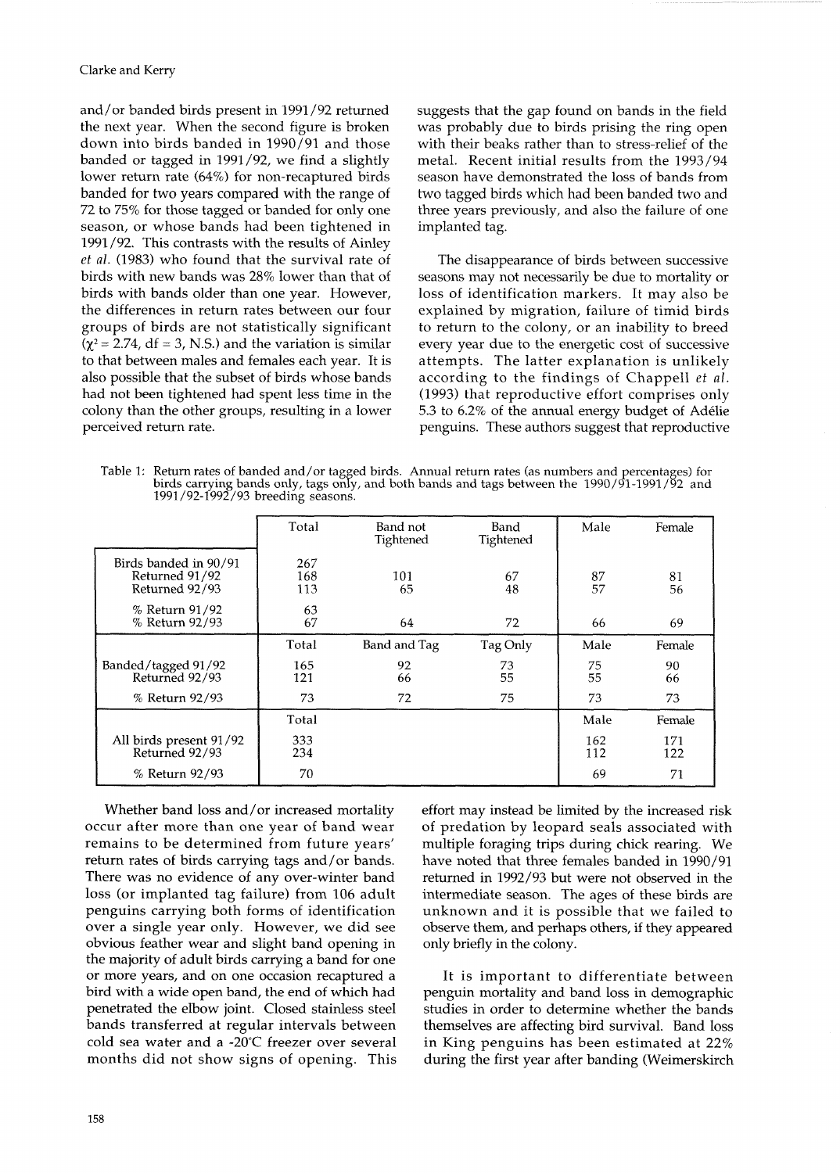and/or banded birds present in 1991/92 returned the next year. When the second figure is broken down into birds banded in 1990/91 and those banded or tagged in 1991/92, we find a slightly lower return rate (64%) for non-recaptured birds banded for two years compared with the range of 72 to 75% for those tagged or banded for only one season, or whose bands had been tightened in 1991 /92. This contrasts with the results of Ainley *et* al. (1983) who found that the survival rate of birds with new bands was 28% lower than that of birds with bands older than one year. However, the differences in return rates between our four groups of birds are not statistically significant  $(\chi^2 = 2.74, df = 3, N.S.)$  and the variation is similar to that between males and females each year. It is also possible that the subset of birds whose bands had not been tightened had spent less time in the colony than the other groups, resulting in a lower perceived return rate.

suggests that the gap found on bands in the field was probably due to birds prising the ring open with their beaks rather than to stress-relief of the metal. Recent initial results from the 1993/94 season have demonstrated the loss of bands from two tagged birds which had been banded two and three years previously, and also the failure of one implanted tag.

The disappearance of birds between successive seasons may not necessarily be due to mortality or loss of identification markers. It may also be explained by migration, failure of timid birds to return to the colony, or an inability to breed every year due to the energetic cost of successive attempts. The latter explanation is unlikely according to the findings of Chappell et al. (1993) that reproductive effort comprises only 5.3 to 6.2% of the annual energy budget of Adelie penguins. These authors suggest that reproductive

Table 1: Return rates of banded and/or tagged birds. Annual return rates (as numbers and percentages) for birds carrying bands only, tags only, and both bands and tags between the 1990/91-1991/92 and 1991/92-1992/93 breeding seasons.

|                                                           | Total             | Band not<br>Tightened | Band<br>Tightened | Male       | Female     |
|-----------------------------------------------------------|-------------------|-----------------------|-------------------|------------|------------|
| Birds banded in 90/91<br>Returned 91/92<br>Returned 92/93 | 267<br>168<br>113 | 101<br>65             | 67<br>48          | 87<br>57   | 81<br>56   |
| % Return 91/92<br>% Return 92/93                          | 63<br>67          | 64                    | 72                | 66         | 69         |
|                                                           | Total             | Band and Tag          | Tag Only          | Male       | Female     |
| Banded/tagged 91/92<br>Returned 92/93                     | 165<br>121        | 92<br>66              | 73<br>55          | 75<br>55   | 90<br>66   |
| % Return 92/93                                            | 73                | 72                    | 75                | 73         | 73         |
|                                                           | Total             |                       |                   | Male       | Female     |
| All birds present 91/92<br>Returned 92/93                 | 333<br>234        |                       |                   | 162<br>112 | 171<br>122 |
| % Return 92/93                                            | 70                |                       |                   | 69         | 71         |

Whether band loss and/or increased mortality occur after more than one year of band wear remains to be determined from future years' return rates of birds carrying tags and/or bands. There was no evidence of any over-winter band loss (or implanted tag failure) from 106 adult penguins carrying both forms of identification over a single year only. However, we did see obvious feather wear and slight band opening in the majority of adult birds carrying a band for one or more years, and on one occasion recaptured a bird with a wide open band, the end of which had penetrated the elbow joint. Closed stainless steel bands transferred at regular intervals between cold sea water and a -20°C freezer over several months did not show signs of opening. This

effort may instead be limited by the increased risk of predation by leopard seals associated with multiple foraging trips during chick rearing. We have noted that three females banded in 1990/91 returned in 1992/93 but were not observed in the intermediate season. The ages of these birds are unknown and it is possible that we failed to observe them, and perhaps others, if they appeared only briefly in the colony.

It is important to differentiate between penguin mortality and band loss in demographic studies in order to determine whether the bands themselves are affecting bird survival. Band loss in King penguins has been estimated at 22% during the first year after banding (Weimerskirch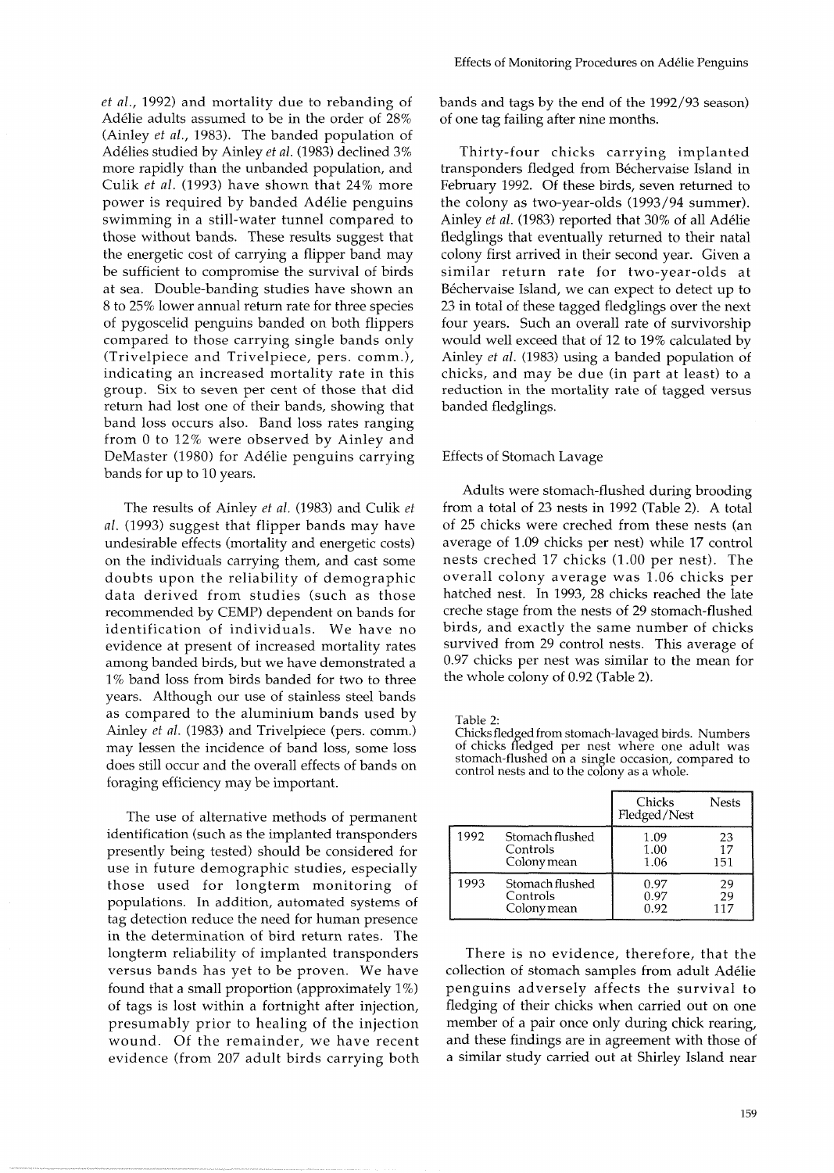*et al.,* 1992) and mortality due to rebanding of Adélie adults assumed to be in the order of 28% (Ainley *et al.,* 1983). The banded population of Adelies studied by Ainley *et al.* (1983) declined **3%**  more rapidly than the unbanded population, and Culik *et al.* (1993) have shown that 24% more power is required by banded Adelie penguins swimming in a still-water tunnel compared to those without bands. These results suggest that the energetic cost of carrying a flipper band may be sufficient to compromise the survival of birds at sea. Double-banding studies have shown an 8 to 25% lower annual return rate for three species of pygoscelid penguins banded on both flippers compared to those carrying single bands only (Trivelpiece and Trivelpiece, pers. comm.), indicating an increased mortality rate in this group. Six to seven per cent of those that did return had lost one of their bands, showing that band loss occurs also. Band loss rates ranging from 0 to 12% were observed by Ainley and DeMaster (1980) for Adelie penguins carrying bands for up to 10 years.

The results of Ainley *et al.* (1983) and Culik *et al.* (1993) suggest that flipper bands may have undesirable effects (mortality and energetic costs) on the individuals carrying them, and cast some doubts upon the reliability of demographic data derived from studies (such as those recommended by CEMP) dependent on bands for identification of individuals. We have no evidence at present of increased mortality rates among banded birds, but we have demonstrated a 1% band loss from birds banded for two to three years. Although our use of stainless steel bands as compared to the aluminium bands used by Ainley *et al.* (1983) and Trivelpiece (pers. comm.) may lessen the incidence of band loss, some loss does still occur and the overall effects of bands on foraging efficiency may be important.

The use of alternative methods of permanent identification (such as the implanted transponders presently being tested) should be considered for use in future demographic studies, especially those used for longterm monitoring of populations. In addition, automated systems of tag detection reduce the need for human presence in the determination of bird return rates. The longterm reliability of implanted transponders versus bands has yet to be proven. We have found that a small proportion (approximately  $1\%)$ of tags is lost within a fortnight after injection, presumably prior to healing of the injection wound. Of the remainder, we have recent evidence (from 207 adult birds carrying both bands and tags by the end of the 1992/93 season) of one tag failing after nine months.

Thirty-four chicks carrying implanted transponders fledged from Béchervaise Island in February 1992. Of these birds, seven returned to the colony as two-year-olds (1993/94 summer). Ainley *et al.* (1983) reported that 30% of all Adelie fledglings that eventually returned to their natal colony first arrived in their second year. Given a similar return rate for two-year-olds at Béchervaise Island, we can expect to detect up to 23 in total of these tagged fledglings over the next four years. Such an overall rate of survivorship would well exceed that of 12 to 19% calculated by Ainley *et* al. (1983) using a banded population of chicks, and may be due (in part at least) to a reduction in the mortality rate of tagged versus banded fledglings.

# Effects of Stomach Lavage

Adults were stomach-flushed during brooding from a total of 23 nests in 1992 (Table 2). A total of 25 chicks were creched from these nests (an average of 1.09 chicks per nest) while 17 control nests creched 17 chicks (1.00 per nest). The overall colony average was 1.06 chicks per hatched nest. In 1993, 28 chicks reached the late creche stage from the nests of 29 stomach-flushed birds, and exactly the same number of chicks survived from 29 control nests. This average of 0.97 chicks per nest was similar to the mean for the whole colony of 0.92 (Table 2).

Table 2:

Chicks fledged from stomach-lavaged birds. Numbers of chicks fledged per nest where one adult was stomach-flushed on a single occasion, compared to control nests and to the colony as a whole.

|      |                 | Chicks<br>Fledged/Nest | <b>Nests</b> |
|------|-----------------|------------------------|--------------|
| 1992 | Stomach flushed | 1.09                   | 23           |
|      | Controls        | 1.00                   | 17           |
|      | Colony mean     | 1.06                   | 151          |
| 1993 | Stomach flushed | 0.97                   | 29           |
|      | Controls        | 0.97                   | 29           |
|      | Colony mean     | 0.92                   | 117          |

There is no evidence, therefore, that the collection of stomach samples from adult Adelie penguins adversely affects the survival to fledging of their chicks when carried out on one member of a pair once only during chick rearing, and these findings are in agreement with those of a similar study carried out at Shirley Island near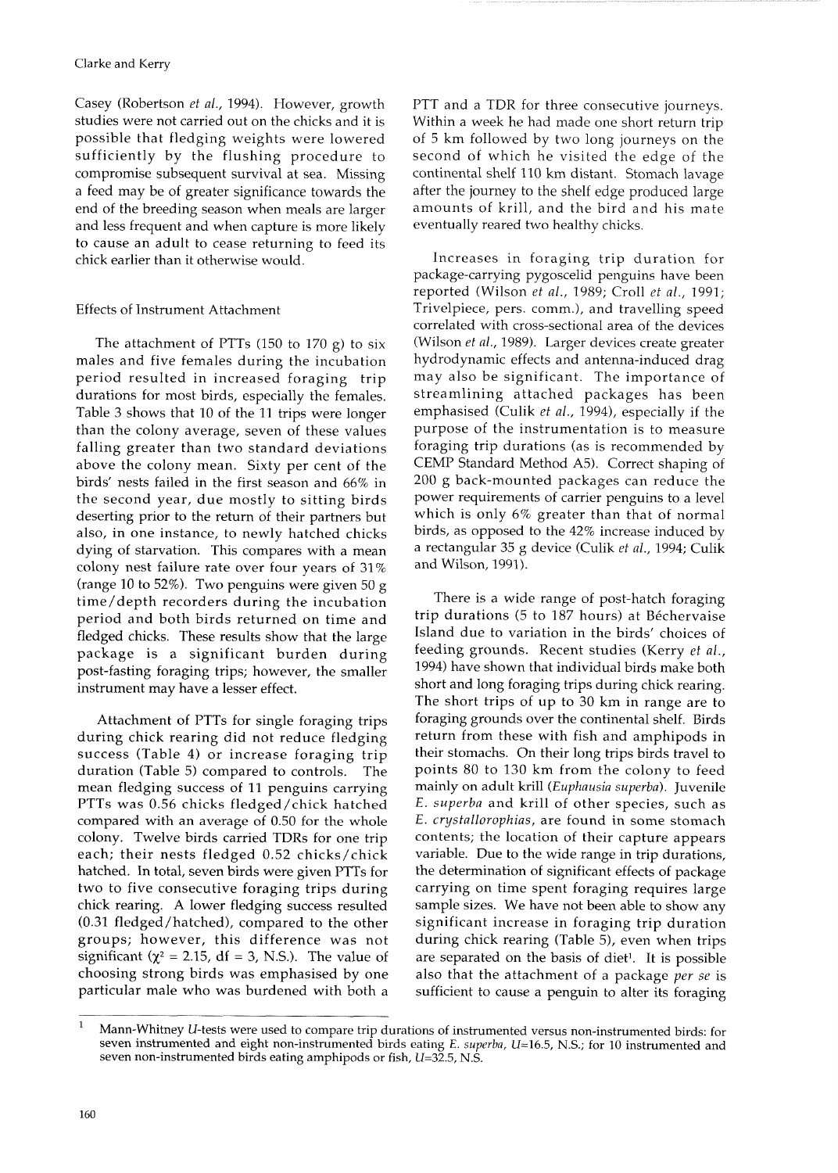Casey (Robertson *et al.,* 1994). However, growth studies were not carried out on the chicks and it is possible that fledging weights were lowered sufficiently by the flushing procedure to compromise subsequent survival at sea. Missing a feed may be of greater significance towards the end of the breeding season when meals are larger and less frequent and when capture is more likely to cause an adult to cease returning to feed its chick earlier than it otherwise would.

# Effects of Instrument Attachment

The attachment of PTTs  $(150 \text{ to } 170 \text{ g})$  to six males and five females during the incubation period resulted in increased foraging trip durations for most birds, especially the females. Table 3 shows that 10 of the 11 trips were longer than the colony average, seven of these values falling greater than two standard deviations above the colony mean. Sixty per cent of the birds' nests failed in the first season and 66% in the second year, due mostly to sitting birds deserting prior to the return of their partners but also, in one instance, to newly hatched chicks dying of starvation. This compares with a mean colony nest failure rate over four years of 31% (range 10 to 52%). Two penguins were given 50 g time/depth recorders during the incubation period and both birds returned on time and fledged chicks. These results show that the large package is a significant burden during post-fasting foraging trips; however, the smaller instrument may have a lesser effect.

Attachment of PTTs for single foraging trips during chick rearing did not reduce fledging success (Table 4) or increase foraging trip duration (Table 5) compared to controls. The mean fledging success of 11 penguins carrying PTTs was 0.56 chicks fledged/chick hatched compared with an average of 0.50 for the whole colony. Twelve birds carried TDRs for one trip each; their nests fledged 0.52 chicks/chick hatched. In total, seven birds were given PTTs for two to five consecutive foraging trips during chick rearing. A lower fledging success resulted (0.31 fledged/hatched), compared to the other groups; however, this difference was not significant  $(\chi^2 = 2.15, df = 3, N.S.).$  The value of choosing strong birds was emphasised by one particular male who was burdened with both a

PTT and a TDR for three consecutive journeys. Within a week he had made one short return trip of 5 km followed by two long journeys on the second of which he visited the edge of the continental shelf 110 km distant. Stomach lavage after the journey to the shelf edge produced large amounts of krill, and the bird and his mate eventually reared two healthy chicks.

Increases in foraging trip duration for package-carrying pygoscelid penguins have been reported (Wilson *et al.,* 1989; Croll *et al.,* 1991; Trivelpiece, pers. comm.), and travelling speed correlated with cross-sectional area of the devices (Wilson *et al.,* 1989). Larger devices create greater hydrodynamic effects and antenna-induced drag may also be significant. The importance of streamlining attached packages has been emphasised (Culik *et al.,* 1994), especially if the purpose of the instrumentation is to measure foraging trip durations (as is recommended by CEMP Standard Method A5). Correct shaping of 200 g back-mounted packages can reduce the power requirements of carrier penguins to a level which is only 6% greater than that of normal birds, as opposed to the 42% increase induced by a rectangular 35 g device (Culik *et al.,* 1994; Culik and Wilson, 1991).

There is a wide range of post-hatch foraging trip durations (5 to 187 hours) at Béchervaise Island due to variation in the birds' choices of feeding grounds. Recent studies (Kerry *et al.,*  1994) have shown that individual birds make both short and long foraging trips during chick rearing. The short trips of up to 30 km in range are to foraging grounds over the continental shelf. Birds return from these with fish and amphipods in their stomachs. On their long trips birds travel to points 80 to 130 km from the colony to feed mainly on adult krill *(Euphausia superba).* Juvenile *E. superba* and krill of other species, such as E. *crystallorophias,* are found in some stomach contents; the location of their capture appears variable. Due to the wide range in trip durations, the determination of significant effects of package carrying on time spent foraging requires large sample sizes. We have not been able to show any significant increase in foraging trip duration during chick rearing (Table 5), even when trips are separated on the basis of diet'. It is possible also that the attachment of a package *per se* is sufficient to cause a penguin to alter its foraging

Mann-Whitney U-tests were used to compare trip durations of instrumented versus non-instrumented birds: for seven instrumented and eight non-instrumented birds eating E. superba,  $U=16.5$ , N.S.; for 10 instrumented and seven non-instrumented birds eating amphipods or fish,  $U=32.5$ , N.S.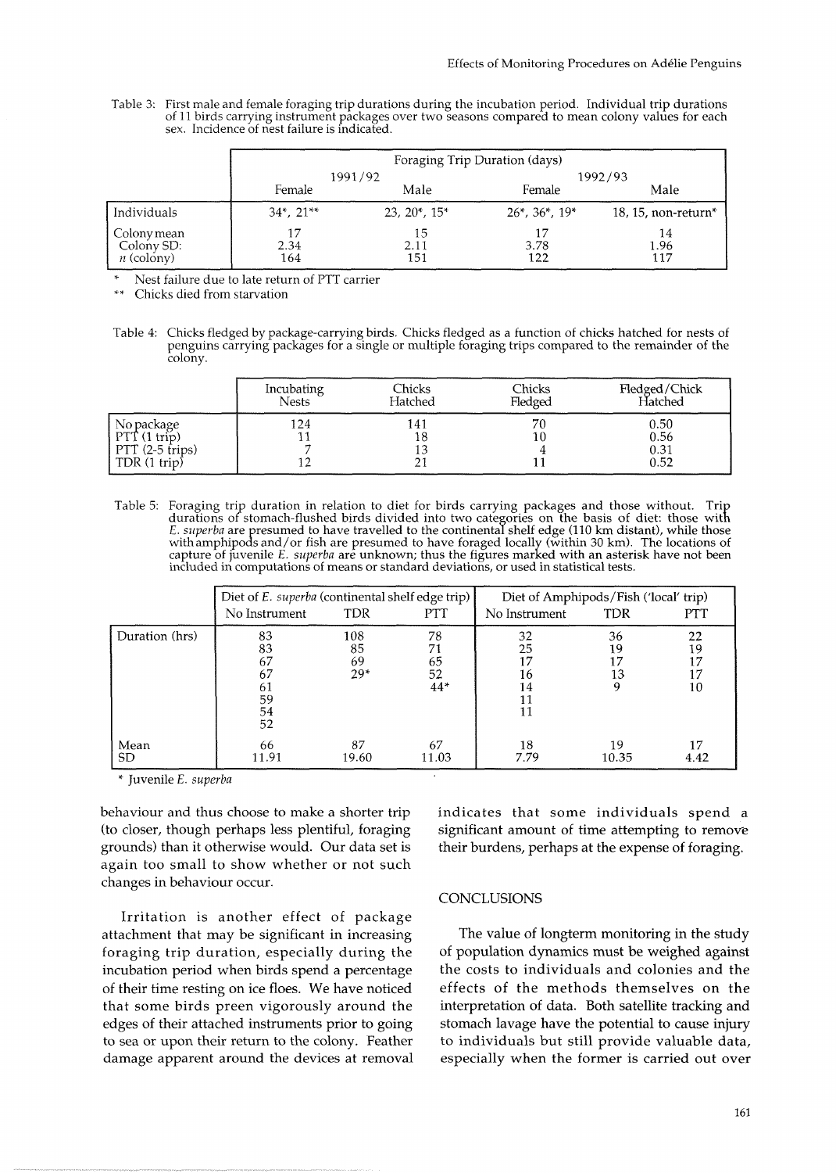Table 3: First male and female foraging trip durations during the incubation period. Individual trip durations of 11 birds carrying instrument packages over two seasons compared to mean colony values for each sex. Incidence of nest failure is indicated.

|                                           | Foraging Trip Duration (days) |                   |                          |                        |
|-------------------------------------------|-------------------------------|-------------------|--------------------------|------------------------|
|                                           | 1991/92                       |                   |                          | 1992/93                |
|                                           | Female                        | Male              | Female                   | Male                   |
| Individuals                               | $34^*$ , $21^{**}$            | $23, 20^*, 15^*$  | $26^*$ , $36^*$ , $19^*$ | 18, 15, non-return $*$ |
| Colony mean<br>Colony SD:<br>$n$ (colony) | 17<br>2.34<br>164             | 15<br>2.11<br>151 | 17<br>3.78<br>122        | 14<br>1.96<br>117      |

Nest failure due to late return of PTT carrier

Chicks died from starvation

Table 4: Chicks fledged by package-carrying birds. Chicks fledged as a function of chicks hatched for nests of penguins carrying packages for a single or multiple foraging trips compared to the remainder of the colony.

|                                                                         | Incubating   | Chicks  | Chicks   | Fledged/Chick                |
|-------------------------------------------------------------------------|--------------|---------|----------|------------------------------|
|                                                                         | <b>Nests</b> | Hatched | Fledged  | Hatched                      |
| No package<br>PTT(1 trip)<br>$PTT(2-5$ trips)<br>TDR $(1 \text{ trip})$ | 124          | 141     | 70<br>10 | 0.50<br>0.56<br>0.31<br>0.52 |

Table 5: Foraging trip duration in relation to diet for birds carrying packages and those without. Trip durations of stomach-flushed birds divided into two categories on the basis of diet: those with E. *superba* are presumed to have travelled to the continental shelf edge (110 km distant), while those with a superband on th withamphipo& and/or fish are presumed to have foraged local1 (within 30 km). The locations of capture of juvenile E. *superba* are unknown; thus the figures marked with an asterisk have not been included in computations of means or standard deviations, or used in statistical tests.

|                   | Diet of E. superba (continental shelf edge trip)<br>No Instrument | <b>TDR</b>               | <b>PTT</b>                    | Diet of Amphipods/Fish ('local' trip)<br>No Instrument | TDR            | <b>PTT</b>                 |
|-------------------|-------------------------------------------------------------------|--------------------------|-------------------------------|--------------------------------------------------------|----------------|----------------------------|
| Duration (hrs)    | 83<br>83<br>67<br>67<br>61<br>59<br>54<br>52                      | 108<br>85<br>69<br>$29*$ | 78<br>71<br>65<br>52<br>$44*$ | 32<br>25<br>16<br>14<br>11                             | 36<br>19<br>13 | 22<br>19<br>17<br>17<br>10 |
| Mean<br><b>SD</b> | 66<br>11.91                                                       | 87<br>19.60              | 67<br>11.03                   | 18<br>7.79                                             | 19<br>10.35    | 4.42                       |

\* Juvenile E. *superba* 

behaviour and thus choose to make a shorter trip (to closer, though perhaps less plentiful, foraging grounds) than it otherwise would. Our data set is again too small to show whether or not such changes in behaviour occur.

Irritation is another effect of package attachment that may be significant in increasing foraging trip duration, especially during the incubation period when birds spend a percentage of their time resting on ice floes. We have noticed that some birds preen vigorously around the edges of their attached instruments prior to going to sea or upon their return to the colony. Feather damage apparent around the devices at removal indicates that some individuals spend a significant amount of time attempting to remove their burdens, perhaps at the expense of foraging.

### **CONCLUSIONS**

The value of longterm monitoring in the study of population dynamics must be weighed against the costs to individuals and colonies and the effects of the methods themselves on the interpretation of data. Both satellite tracking and stomach lavage have the potential to cause injury to individuals but still provide valuable data, especially when the former is carried out over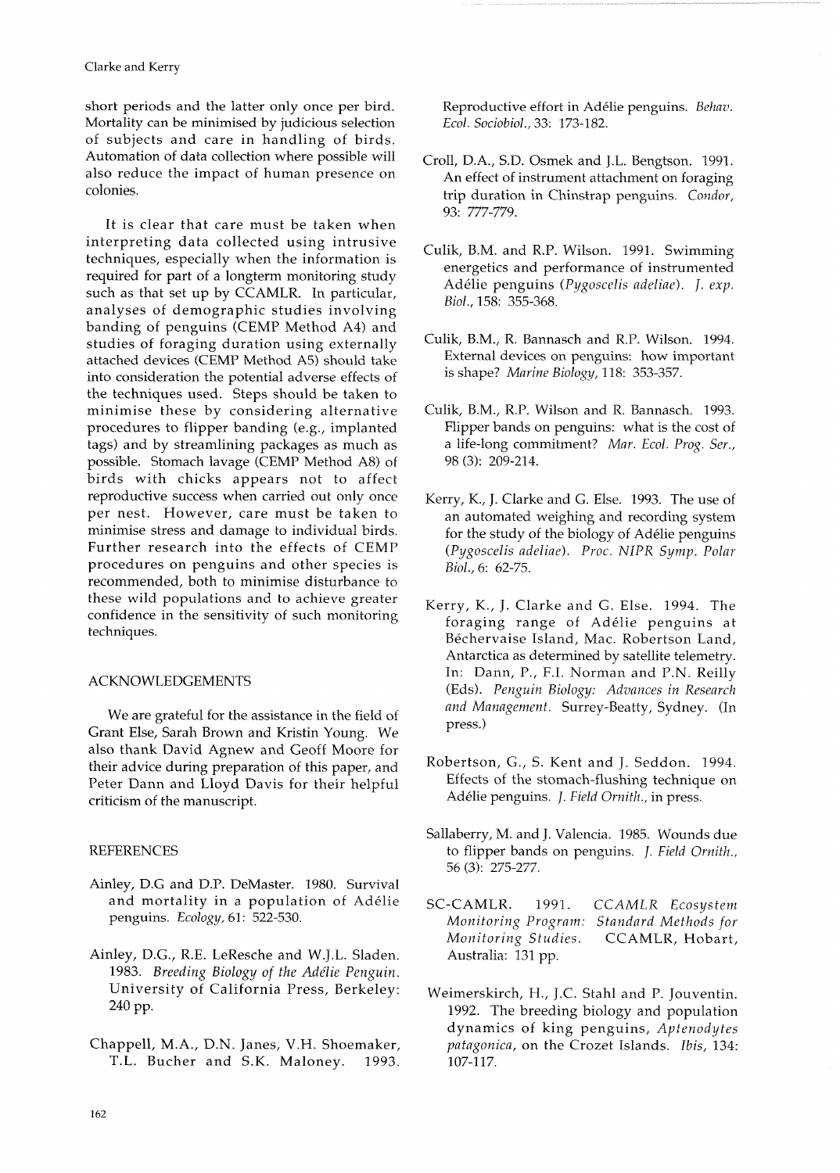short periods and the latter only once per bird. Mortality can be minimised by judicious selection of subjects and care in handling of birds. Automation of data collection where possible will also reduce the impact of human presence on colonies.

It is clear that care must be taken when interpreting data collected using intrusive techniques, especially when the information is required for part of a longterm monitoring study such as that set up by CCAMLR. In particular, analyses of demographic studies involving banding of penguins (CEMP Method A4) and studies of foraging duration using externally attached devices (CEMP Method A5) should take into consideration the potential adverse effects of the techniques used. Steps should be taken to minimise these by considering alternative procedures to flipper banding (e.g., implanted tags) and by streamlining packages as much as possible. Stomach lavage (CEMP Method A8) of birds with chicks appears not to affect reproductive success when carried out only once per nest. However, care must be taken to minimise stress and damage to individual birds. Further research into the effects of CEMP procedures on penguins and other species is recommended, both to minimise disturbance to these wild populations and to achieve greater confidence in the sensitivity of such monitoring techniques.

# ACKNOWLEDGEMENTS

We are grateful for the assistance in the field of Grant Else, Sarah Brown and Kristin Young. We also thank David Agnew and Geoff Moore for their advice during preparation of this paper, and Peter Dann and Lloyd Davis for their helpful criticism of the manuscript.

### **REFERENCES**

- Ainley, D.G and D.P. DeMaster. 1980. Survival and mortality in a population of Adelie penguins. *Ecology,* 61: 522-530.
- Ainley, D.G., R.E. LeResche and W.J.L. Sladen. 1983. *Breeding Biology of the Addie Penguin.*  University of California Press, Berkeley: 240 pp.
- Chappell, M.A., D.N. Janes, V.H. Shoemaker, T.L. Bucher and S.K. Maloney. 1993.

Reproductive effort in Adelie penguins. *Behat?. Ecol. Sociobiol.,* 33: 173-182.

- Croll, D.A., S.D. Osmek and J.L. Bengtson. 1991. An effect of instrument attachment on foraging trip duration in Chinstrap penguins. *Condor,*  93: 777-779.
- Culik, B.M. and R.P. Wilson. 1991. Swimming energetics and performance of instrumented Adelie penguins *(Pygoscelis adeliae). J. exp. Biol.,* 158: 355-368.
- Culik, B.M., R. Bannasch and R.P. Wilson. 1994. External devices on penguins: how important is shape? *Marine Biology,* 118: 353-357.
- Culik, B.M., R.P. Wilson and R. Bannasch. 1993. Flipper bands on penguins: what is the cost of a life-long commitment? *Mar. Ecol. Prog. Ser.,*  98 (3): 209-214.
- Kerry, K., J. Clarke and G. Else. 1993. The use of an automated weighing and recording system for the study of the biology of Adelie penguins *(Pygoscelis adeliae). Proc. N1PR Symp. Polar Biol.,* 6: 62-75.
- Kerry, K., J. Clarke and G. Else. 1994. The foraging range of Adelie penguins at Béchervaise Island, Mac. Robertson Land, Antarctica as determined by satellite telemetry. In: Dann, P., F.I. Norman and P.N. Reilly (Eds). *Penguin Biology: Advances in Research and Management.* Surrey-Beatty, Sydney. (In press.)
- Robertson, G., S. Kent and J. Seddon. 1994. Effects of the stomach-flushing technique on Adélie penguins. *J. Field Ornith.*, in press.
- Sallaberry, M. and J. Valencia. 1985. Wounds due to flipper bands on penguins. *J. Field Ornith.,*  56 *(3):* 275-277.
- SC-CAMLR. 1991. *CCAMLR Ecosystem Monitoring Program: Standard Methods for Monitoring Studies.* CCAMLR, Hobart, Australia: 131 pp.
- Weimerskirch, H., J.C. Stahl and P. Jouventin. 1992. The breeding biology and population dynamics of king penguins, *Aptenodytes patagonica,* on the Crozet Islands. *Ibis,* 134: 107-117.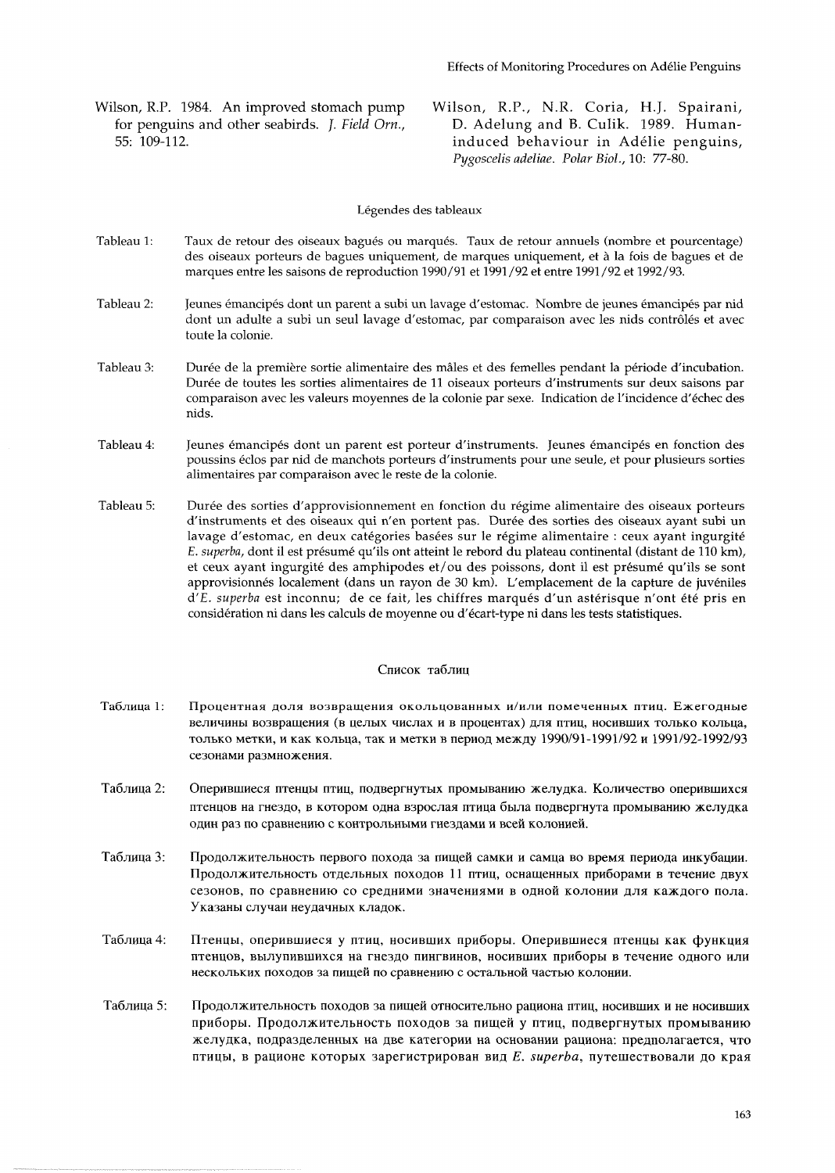- for penguins and other seabirds. *J. Field Orn.*, 55: 109-112.
- Wilson, R.P. 1984. An improved stomach pump Wilson, R.P., N.R. Coria, H.J. Spairani, for penguins and other seabirds. *J. Field Orn.*, D. Adelung and B. Culik. 1989. Humaninduced behaviour in Adélie penguins, *Pygoscelis adeliae. Polar Biol.,* 10: 77-80.

Légendes des tableaux

- Tableau 1: Taux de retour des oiseaux bagués ou marqués. Taux de retour annuels (nombre et pourcentage) des oiseaux porteurs de bagues uniquement, de marques uniquement, et a la fois de bagues et de marques entre les saisons de reproduction 1990/91 et 1991 /92 et entre 1991 /92 et 1992/93.
- Tableau 2: Jeunes émancipés dont un parent a subi un lavage d'estomac. Nombre de jeunes émancipés par nid dont un adulte a subi un seul lavage d'estomac, par comparaison avec les nids contrôlés et avec toute la colonie.
- Tableau 3: Durée de la première sortie alimentaire des mâles et des femelles pendant la période d'incubation. Durée de toutes les sorties alimentaires de 11 oiseaux porteurs d'instruments sur deux saisons par comparaison avec les valeurs moyennes de la colonie par sexe. Indication de l'incidence d'echec des nids.
- Tableau 4: Jeunes émancipés dont un parent est porteur d'instruments. Jeunes émancipés en fonction des poussins 6clos par nid de manchots porteurs d'instruments pour une seule, et pour plusieurs sorties alimentaires par comparaison avec le reste de la colonie.
- Tableau 5: Durée des sorties d'approvisionnement en fonction du régime alimentaire des oiseaux porteurs d'instruments et des oiseaux qui n'en portent pas. Duree des sorties des oiseaux ayant subi un lavage d'estomac, en deux catégories basées sur le régime alimentaire : ceux ayant ingurgité E. *superba*, dont il est présumé qu'ils ont atteint le rebord du plateau continental (distant de 110 km), et ceux ayant ingurgite des amphipodes et/ou des poissons, dont il est presume qu'ils se sont approvisionnes localement (dans un rayon de 30 km). L'emplacement de la capture de juveniles d'E. *superba* est inconnu; de ce fait, les chiffres marqués d'un astérisque n'ont été pris en consideration ni dans les calculs de moyenne ou d'ecart-type ni dans les tests statistiques.

#### Список таблиц

- Таблица 1: Процентная доля возвращения окольцованных и/или помеченных птиц. Ежегодные величины возвращения (в целых числах и в процентах) для птиц, носивших только кольца, только метки, и как кольца, так и метки в период между 1990/91-1991/92 и 1991/92-1992/93 сезонами размножения.
- Таблица 2: Оперившиеся птенцы птиц, подвергнутых промыванию желудка. Количество оперившихся птенцов на гнездо, в котором одна взрослая птица была подвергнута промыванию желудка один раз по сравнению с контрольными гнездами и всей колонией.
- Таблица 3: Продолжительность первого похода за пищей самки и самца во время периода инкубации. Продолжительность отдельных походов 11 птиц, оснащенных приборами в течение двух сезонов, по сравнению со средними значениями в одной колонии для каждого пола. Указаны случаи неудачных кладок.
- Таблица 4: Птенцы, оперившиеся у птиц, носивших приборы. Оперившиеся птенцы как функция птенцов, вылупившихся на гнездо пингвинов, носивших приборы в течение одного или нескольких походов за пищей по сравнению с остальной частью колонии.
- Таблица 5: Продолжительность походов за пищей относительно рациона птиц, носивших и не носивших приборы. Продолжительность походов за пищей у птиц, подвергнутых промыванию желудка, подразделенных на две категории на основании рациона: предполагается, что птицы, в рационе которых зарегистрирован вид *E. superba*, путешествовали до края